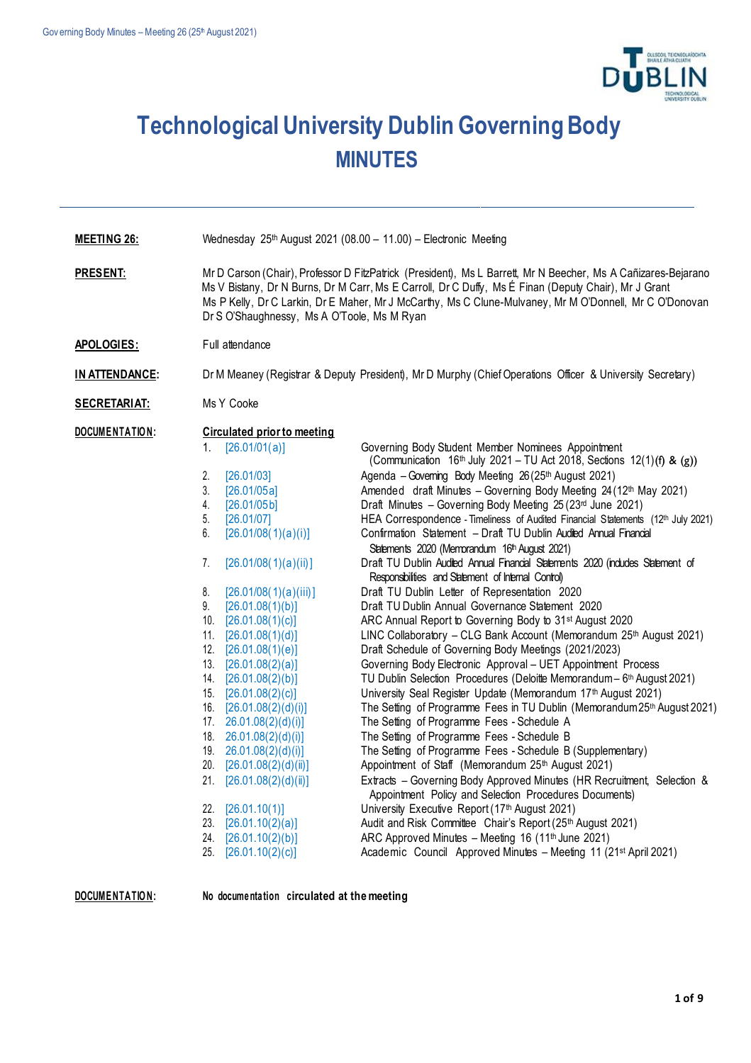

## **Technological University Dublin Governing Body MINUTES**

| <b>MEETING 26:</b>    | Wednesday 25th August 2021 (08.00 - 11.00) - Electronic Meeting                                                                                                                                                                                                                                                                                                                 |                                                                                                                                                                                                                                                                                                                                                                                                                                                                                                                                                                                                                                                                                                                                                                                                                                                                                                                                                                                                                                                          |  |
|-----------------------|---------------------------------------------------------------------------------------------------------------------------------------------------------------------------------------------------------------------------------------------------------------------------------------------------------------------------------------------------------------------------------|----------------------------------------------------------------------------------------------------------------------------------------------------------------------------------------------------------------------------------------------------------------------------------------------------------------------------------------------------------------------------------------------------------------------------------------------------------------------------------------------------------------------------------------------------------------------------------------------------------------------------------------------------------------------------------------------------------------------------------------------------------------------------------------------------------------------------------------------------------------------------------------------------------------------------------------------------------------------------------------------------------------------------------------------------------|--|
| <b>PRESENT:</b>       | Mr D Carson (Chair), Professor D FitzPatrick (President), Ms L Barrett, Mr N Beecher, Ms A Cañizares-Bejarano<br>Ms V Bistany, Dr N Burns, Dr M Carr, Ms E Carroll, Dr C Duffy, Ms É Finan (Deputy Chair), Mr J Grant<br>Ms P Kelly, Dr C Larkin, Dr E Maher, Mr J McCarthy, Ms C Clune-Mulvaney, Mr M O'Donnell, Mr C O'Donovan<br>Dr S O'Shaughnessy, Ms A O'Toole, Ms M Ryan |                                                                                                                                                                                                                                                                                                                                                                                                                                                                                                                                                                                                                                                                                                                                                                                                                                                                                                                                                                                                                                                          |  |
| APOLOGIES:            | Full attendance                                                                                                                                                                                                                                                                                                                                                                 |                                                                                                                                                                                                                                                                                                                                                                                                                                                                                                                                                                                                                                                                                                                                                                                                                                                                                                                                                                                                                                                          |  |
| <b>IN ATTENDANCE:</b> |                                                                                                                                                                                                                                                                                                                                                                                 | Dr M Meaney (Registrar & Deputy President), Mr D Murphy (Chief Operations Officer & University Secretary)                                                                                                                                                                                                                                                                                                                                                                                                                                                                                                                                                                                                                                                                                                                                                                                                                                                                                                                                                |  |
| <b>SECRETARIAT:</b>   | Ms Y Cooke                                                                                                                                                                                                                                                                                                                                                                      |                                                                                                                                                                                                                                                                                                                                                                                                                                                                                                                                                                                                                                                                                                                                                                                                                                                                                                                                                                                                                                                          |  |
| DOCUMENTATION:        | <b>Circulated prior to meeting</b><br>[26.01/01(a)]<br>1.<br>2.<br>[26.01/03]<br>3.<br>[26.01/05a]<br>4.<br>[26.01/05b]<br>5.<br>[26.01/07]<br>6.<br>[26.01/08(1)(a)(i)]<br>7.<br>[26.01/08(1)(a)(ii)]<br>8.<br>[26.01/08(1)(a)(iii)]<br>9.<br>[26.01.08(1)(b)]<br>10. $[26.01.08(1)(c)]$<br>11. $[26.01.08(1)(d)]$<br>12.<br>[26.01.08(1)(e)]<br>13. $[26.01.08(2)(a)]$        | Governing Body Student Member Nominees Appointment<br>(Communication $16th$ July 2021 – TU Act 2018, Sections 12(1)(f) & (g))<br>Agenda - Governing Body Meeting 26 (25th August 2021)<br>Amended draft Minutes - Governing Body Meeting 24 (12th May 2021)<br>Draft Minutes - Governing Body Meeting 25 (23rd June 2021)<br>HEA Correspondence - Timeliness of Audited Financial Statements (12th July 2021)<br>Confirmation Statement - Draft TU Dublin Audited Annual Financial<br>Statements 2020 (Memorandum 16 <sup>th</sup> August 2021)<br>Draft TU Dublin Audited Annual Financial Statements 2020 (indudes Statement of<br>Responsibilities and Statement of Internal Control)<br>Draft TU Dublin Letter of Representation 2020<br>Draft TU Dublin Annual Governance Statement 2020<br>ARC Annual Report to Governing Body to 31st August 2020<br>LINC Collaboratory - CLG Bank Account (Memorandum 25th August 2021)<br>Draft Schedule of Governing Body Meetings (2021/2023)<br>Governing Body Electronic Approval - UET Appointment Process |  |
|                       | 14. $[26.01.08(2)(b)]$<br>15.<br>[26.01.08(2)(c)]<br>16. $[26.01.08(2)(d)(i)]$<br>17. $26.01.08(2)(d)(i)$<br>18.<br>26.01.08(2)(d)(i)<br>26.01.08(2)(d)(i)<br>19.<br>20.<br>[26.01.08(2)(d)(ii)]<br>21.<br>[26.01.08(2)(d)(ii)]<br>22.<br>[26.01.10(1)]<br>23.<br>[26.01.10(2)(a)]<br>24.<br>[26.01.10(2)(b)]<br>[26.01.10(2)(c)]<br>25.                                        | TU Dublin Selection Procedures (Deloitte Memorandum - 6th August 2021)<br>University Seal Register Update (Memorandum 17th August 2021)<br>The Setting of Programme Fees in TU Dublin (Memorandum 25th August 2021)<br>The Setting of Programme Fees - Schedule A<br>The Setting of Programme Fees - Schedule B<br>The Setting of Programme Fees - Schedule B (Supplementary)<br>Appointment of Staff (Memorandum 25th August 2021)<br>Extracts - Governing Body Approved Minutes (HR Recruitment, Selection &<br>Appointment Policy and Selection Procedures Documents)<br>University Executive Report (17th August 2021)<br>Audit and Risk Committee Chair's Report (25th August 2021)<br>ARC Approved Minutes - Meeting 16 (11th June 2021)<br>Academic Council Approved Minutes - Meeting 11 (21st April 2021)                                                                                                                                                                                                                                       |  |

**DOCUMENTATION:** No documentation circulated at the meeting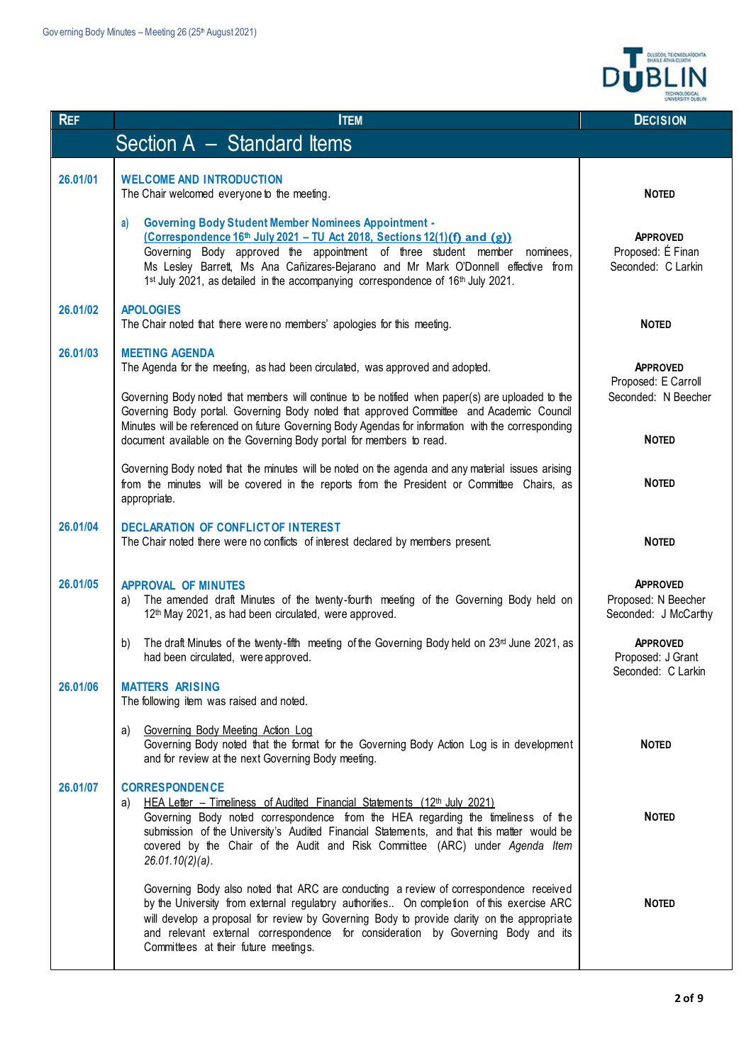|            |                                                                                                                                                                                                                                                                                                                                                                                                              | <b>OLLSCOIL TEICNECLAÍOCHTA</b><br>BHAILE ÁTHA CLIATH          |
|------------|--------------------------------------------------------------------------------------------------------------------------------------------------------------------------------------------------------------------------------------------------------------------------------------------------------------------------------------------------------------------------------------------------------------|----------------------------------------------------------------|
| <b>REF</b> | <b>ITEM</b>                                                                                                                                                                                                                                                                                                                                                                                                  | <b>DECISION</b>                                                |
|            | Section A - Standard Items                                                                                                                                                                                                                                                                                                                                                                                   |                                                                |
| 26,01/01   | <b>WELCOME AND INTRODUCTION</b><br>The Chair welcomed everyone to the meeting.<br><b>Governing Body Student Member Nominees Appointment -</b><br>a)                                                                                                                                                                                                                                                          | <b>NOTED</b>                                                   |
|            | (Correspondence $16th$ July 2021 – TU Act 2018, Sections 12(1)(f) and (g))<br>Governing Body approved the appointment of three student member nominees,<br>Ms Lesley Barrett, Ms Ana Cañizares-Bejarano and Mr Mark O'Donnell effective from<br>1st July 2021, as detailed in the accompanying correspondence of 16th July 2021.                                                                             | <b>APPROVED</b><br>Proposed: É Finan<br>Seconded: C Larkin     |
| 26.01/02   | <b>APOLOGIES</b><br>The Chair noted that there were no members' apologies for this meeting.                                                                                                                                                                                                                                                                                                                  | <b>NOTED</b>                                                   |
| 26.01/03   | <b>MEETING AGENDA</b><br>The Agenda for the meeting, as had been circulated, was approved and adopted.                                                                                                                                                                                                                                                                                                       | <b>APPROVED</b><br>Proposed: E Carroll                         |
|            | Governing Body noted that members will continue to be notified when paper(s) are uploaded to the<br>Governing Body portal. Governing Body noted that approved Committee and Academic Council<br>Minutes will be referenced on future Governing Body Agendas for information with the corresponding<br>document available on the Governing Body portal for members to read.                                   | Seconded: N Beecher<br><b>NOTED</b>                            |
|            | Governing Body noted that the minutes will be noted on the agenda and any material issues arising<br>from the minutes will be covered in the reports from the President or Committee Chairs, as<br>appropriate.                                                                                                                                                                                              | <b>NOTED</b>                                                   |
| 26.01/04   | <b>DECLARATION OF CONFLICTOF INTEREST</b><br>The Chair noted there were no conflicts of interest declared by members present.                                                                                                                                                                                                                                                                                | <b>NOTED</b>                                                   |
| 26.01/05   | <b>APPROVAL OF MINUTES</b><br>The amended draft Minutes of the twenty-fourth meeting of the Governing Body held on<br>a)<br>12 <sup>th</sup> May 2021, as had been circulated, were approved.                                                                                                                                                                                                                | <b>APPROVED</b><br>Proposed: N Beecher<br>Seconded: J McCarthy |
|            | The draft Minutes of the twenty-fifth meeting of the Governing Body held on $23rd$ June 2021, as<br>b)<br>had been circulated, were approved.                                                                                                                                                                                                                                                                | <b>APPROVED</b><br>Proposed: J Grant<br>Seconded: C Larkin     |
| 26.01/06   | <b>MATTERS ARISING</b><br>The following item was raised and noted.                                                                                                                                                                                                                                                                                                                                           |                                                                |
|            | Governing Body Meeting Action Log<br>a)<br>Governing Body noted that the format for the Governing Body Action Log is in development<br>and for review at the next Governing Body meeting.                                                                                                                                                                                                                    | <b>NOTED</b>                                                   |
| 26.01/07   | <b>CORRESPONDENCE</b><br><u>HEA Letter – Timeliness of Audited Financial Statements (12th July 2021)</u><br>a)<br>Governing Body noted correspondence from the HEA regarding the timeliness of the<br>submission of the University's Audited Financial Statements, and that this matter would be<br>covered by the Chair of the Audit and Risk Committee (ARC) under Agenda Item<br>$26.01.10(2)(a)$ .       | <b>NOTED</b>                                                   |
|            | Governing Body also noted that ARC are conducting a review of correspondence received<br>by the University from external regulatory authorities On completion of this exercise ARC<br>will develop a proposal for review by Governing Body to provide clarity on the appropriate<br>and relevant external correspondence for consideration by Governing Body and its<br>Committees at their future meetings. | <b>NOTED</b>                                                   |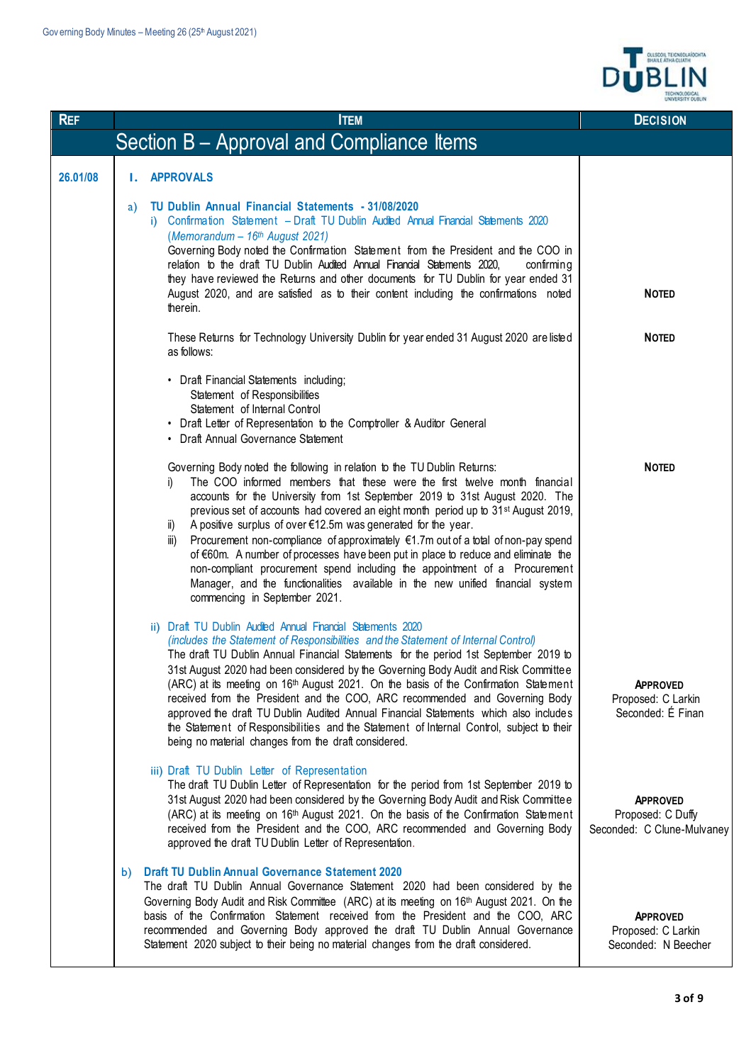

| <b>REF</b> | <b>ITEM</b>                                                                                                                                                                                                                                                                                                                                                                                                                                                                                                                                                                                                                                                                                                                                                                                              | <b>DECISION</b>                                                    |
|------------|----------------------------------------------------------------------------------------------------------------------------------------------------------------------------------------------------------------------------------------------------------------------------------------------------------------------------------------------------------------------------------------------------------------------------------------------------------------------------------------------------------------------------------------------------------------------------------------------------------------------------------------------------------------------------------------------------------------------------------------------------------------------------------------------------------|--------------------------------------------------------------------|
|            | Section B – Approval and Compliance Items                                                                                                                                                                                                                                                                                                                                                                                                                                                                                                                                                                                                                                                                                                                                                                |                                                                    |
| 26,01/08   | <b>I. APPROVALS</b>                                                                                                                                                                                                                                                                                                                                                                                                                                                                                                                                                                                                                                                                                                                                                                                      |                                                                    |
|            | TU Dublin Annual Financial Statements - 31/08/2020<br>a)<br>i) Confirmation Statement - Draft TU Dublin Audited Annual Financial Statements 2020<br>(Memorandum - 16th August 2021)<br>Governing Body noted the Confirmation Statement from the President and the COO in<br>relation to the draft TU Dublin Audited Annual Financial Statements 2020,<br>confirming<br>they have reviewed the Returns and other documents for TU Dublin for year ended 31<br>August 2020, and are satisfied as to their content including the confirmations noted<br>therein.                                                                                                                                                                                                                                            | <b>NOTED</b>                                                       |
|            | These Returns for Technology University Dublin for year ended 31 August 2020 are listed<br>as follows:                                                                                                                                                                                                                                                                                                                                                                                                                                                                                                                                                                                                                                                                                                   | <b>NOTED</b>                                                       |
|            | • Draft Financial Statements including;<br>Statement of Responsibilities<br>Statement of Internal Control<br>• Draft Letter of Representation to the Comptroller & Auditor General<br>• Draft Annual Governance Statement                                                                                                                                                                                                                                                                                                                                                                                                                                                                                                                                                                                |                                                                    |
|            | Governing Body noted the following in relation to the TU Dublin Returns:<br>The COO informed members that these were the first twelve month financial<br>i)<br>accounts for the University from 1st September 2019 to 31st August 2020. The<br>previous set of accounts had covered an eight month period up to 31 <sup>st</sup> August 2019,<br>A positive surplus of over €12.5m was generated for the year.<br>ii)<br>Procurement non-compliance of approximately €1.7m out of a total of non-pay spend<br>iii)<br>of €60m. A number of processes have been put in place to reduce and eliminate the<br>non-compliant procurement spend including the appointment of a Procurement<br>Manager, and the functionalities available in the new unified financial system<br>commencing in September 2021. | <b>NOTED</b>                                                       |
|            | ii) Draft TU Dublin Audited Annual Financial Statements 2020<br>(includes the Statement of Responsibilities and the Statement of Internal Control)<br>The draft TU Dublin Annual Financial Statements for the period 1st September 2019 to<br>31st August 2020 had been considered by the Governing Body Audit and Risk Committee<br>(ARC) at its meeting on 16th August 2021. On the basis of the Confirmation Statement<br>received from the President and the COO, ARC recommended and Governing Body<br>approved the draft TU Dublin Audited Annual Financial Statements which also includes<br>the Statement of Responsibilities and the Statement of Internal Control, subject to their<br>being no material changes from the draft considered.                                                    | <b>APPROVED</b><br>Proposed: C Larkin<br>Seconded: É Finan         |
|            | iii) Draft TU Dublin Letter of Representation<br>The draft TU Dublin Letter of Representation for the period from 1st September 2019 to<br>31st August 2020 had been considered by the Governing Body Audit and Risk Committee<br>(ARC) at its meeting on 16th August 2021. On the basis of the Confirmation Statement<br>received from the President and the COO, ARC recommended and Governing Body<br>approved the draft TU Dublin Letter of Representation.                                                                                                                                                                                                                                                                                                                                          | <b>APPROVED</b><br>Proposed: C Duffy<br>Seconded: C Clune-Mulvaney |
|            | <b>Draft TU Dublin Annual Governance Statement 2020</b><br>b)<br>The draft TU Dublin Annual Governance Statement 2020 had been considered by the<br>Governing Body Audit and Risk Committee (ARC) at its meeting on 16th August 2021. On the<br>basis of the Confirmation Statement received from the President and the COO, ARC<br>recommended and Governing Body approved the draft TU Dublin Annual Governance<br>Statement 2020 subject to their being no material changes from the draft considered.                                                                                                                                                                                                                                                                                                | <b>APPROVED</b><br>Proposed: C Larkin<br>Seconded: N Beecher       |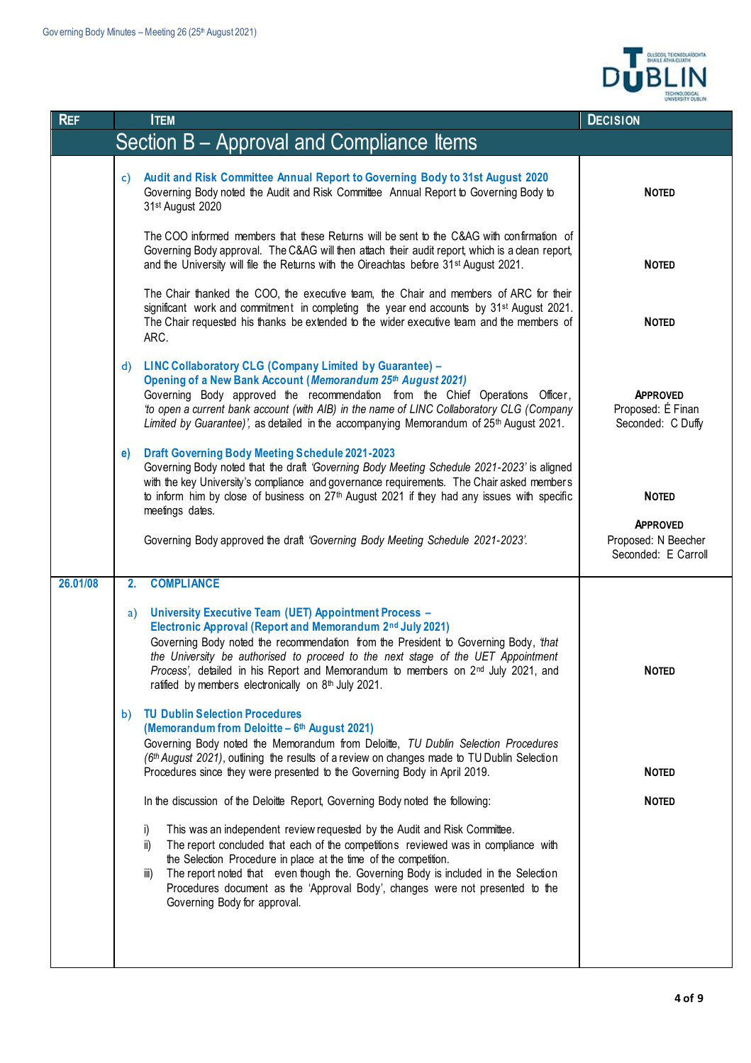

| <b>ITEM</b>                                                                                                                                                                                                                                                                                                                                                                                                                                                             | <b>DECISION</b>                                                               |
|-------------------------------------------------------------------------------------------------------------------------------------------------------------------------------------------------------------------------------------------------------------------------------------------------------------------------------------------------------------------------------------------------------------------------------------------------------------------------|-------------------------------------------------------------------------------|
| Section B - Approval and Compliance Items                                                                                                                                                                                                                                                                                                                                                                                                                               |                                                                               |
| Audit and Risk Committee Annual Report to Governing Body to 31st August 2020<br>C)<br>Governing Body noted the Audit and Risk Committee Annual Report to Governing Body to<br>31st August 2020                                                                                                                                                                                                                                                                          | <b>NOTED</b>                                                                  |
| The COO informed members that these Returns will be sent to the C&AG with confirmation of<br>Governing Body approval. The C&AG will then attach their audit report, which is a clean report,<br>and the University will file the Returns with the Oireachtas before 31 <sup>st</sup> August 2021.                                                                                                                                                                       | <b>NOTED</b>                                                                  |
| The Chair thanked the COO, the executive team, the Chair and members of ARC for their<br>significant work and commitment in completing the year end accounts by 31st August 2021.<br>The Chair requested his thanks be extended to the wider executive team and the members of<br>ARC.                                                                                                                                                                                  | <b>NOTED</b>                                                                  |
| <b>LINC Collaboratory CLG (Company Limited by Guarantee) -</b><br>d)<br>Opening of a New Bank Account (Memorandum 25th August 2021)<br>Governing Body approved the recommendation from the Chief Operations Officer,<br>'to open a current bank account (with AIB) in the name of LINC Collaboratory CLG (Company<br>Limited by Guarantee)', as detailed in the accompanying Memorandum of 25th August 2021.                                                            | <b>APPROVED</b><br>Proposed: É Finan<br>Seconded: C Duffy                     |
| <b>Draft Governing Body Meeting Schedule 2021-2023</b><br>e)<br>Governing Body noted that the draft 'Governing Body Meeting Schedule 2021-2023' is aligned<br>with the key University's compliance and governance requirements. The Chair asked members<br>to inform him by close of business on 27 <sup>th</sup> August 2021 if they had any issues with specific<br>meetings dates.<br>Governing Body approved the draft 'Governing Body Meeting Schedule 2021-2023'. | <b>NOTED</b><br><b>APPROVED</b><br>Proposed: N Beecher<br>Seconded: E Carroll |
|                                                                                                                                                                                                                                                                                                                                                                                                                                                                         |                                                                               |
| University Executive Team (UET) Appointment Process -<br>a)<br>Electronic Approval (Report and Memorandum 2nd July 2021)<br>Governing Body noted the recommendation from the President to Governing Body, that<br>the University be authorised to proceed to the next stage of the UET Appointment<br>Process', detailed in his Report and Memorandum to members on 2nd July 2021, and<br>ratified by members electronically on 8th July 2021.                          | <b>NOTED</b>                                                                  |
| <b>TU Dublin Selection Procedures</b><br>b)<br>(Memorandum from Deloitte - 6th August 2021)<br>Governing Body noted the Memorandum from Deloitte, TU Dublin Selection Procedures<br>(6th August 2021), outlining the results of a review on changes made to TU Dublin Selection<br>Procedures since they were presented to the Governing Body in April 2019.<br>In the discussion of the Deloitte Report, Governing Body noted the following:                           | <b>NOTED</b><br><b>NOTED</b>                                                  |
| This was an independent review requested by the Audit and Risk Committee.<br>i)<br>The report concluded that each of the competitions reviewed was in compliance with<br>ii)<br>the Selection Procedure in place at the time of the competition.<br>The report noted that even though the. Governing Body is included in the Selection<br>iii)<br>Procedures document as the 'Approval Body', changes were not presented to the<br>Governing Body for approval.         |                                                                               |
|                                                                                                                                                                                                                                                                                                                                                                                                                                                                         | <b>COMPLIANCE</b><br>2.                                                       |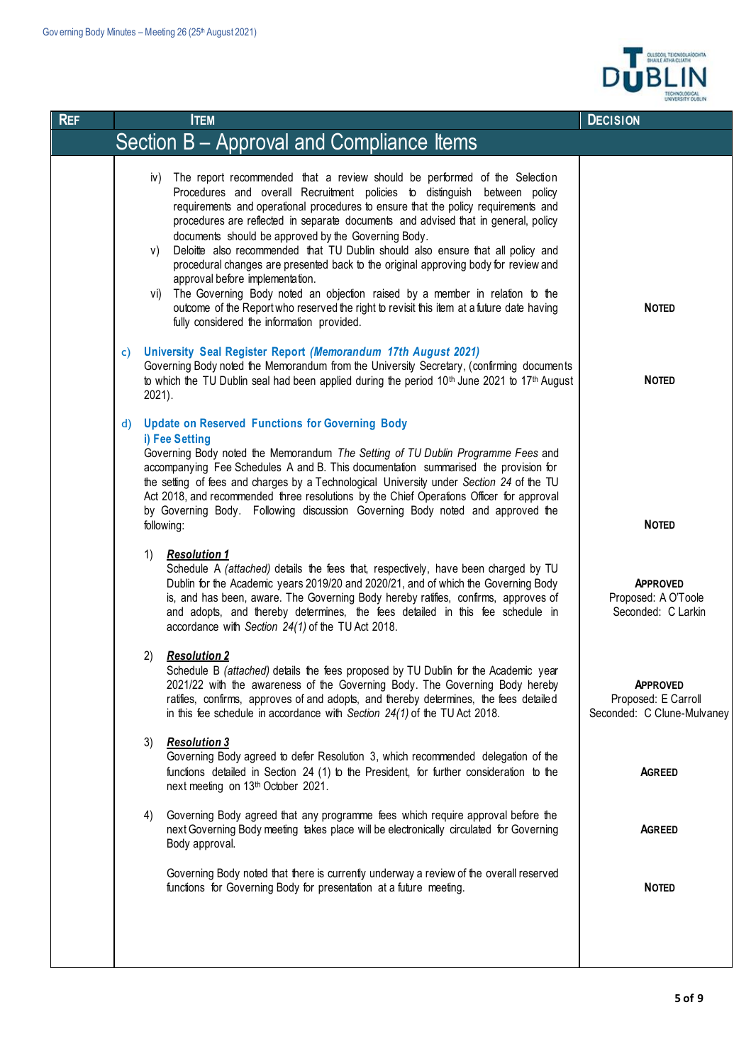$\mathbf{I}$ 



| <b>REF</b> | <b>ITEM</b>                                                                                                                                                                                                                                                                                                                                                                                                                                                                                                                                                                                                                                                                                                                                                                                                                                          | <b>DECISION</b>                                                      |
|------------|------------------------------------------------------------------------------------------------------------------------------------------------------------------------------------------------------------------------------------------------------------------------------------------------------------------------------------------------------------------------------------------------------------------------------------------------------------------------------------------------------------------------------------------------------------------------------------------------------------------------------------------------------------------------------------------------------------------------------------------------------------------------------------------------------------------------------------------------------|----------------------------------------------------------------------|
|            | Section B - Approval and Compliance Items                                                                                                                                                                                                                                                                                                                                                                                                                                                                                                                                                                                                                                                                                                                                                                                                            |                                                                      |
|            | The report recommended that a review should be performed of the Selection<br>iv)<br>Procedures and overall Recruitment policies to distinguish between policy<br>requirements and operational procedures to ensure that the policy requirements and<br>procedures are reflected in separate documents and advised that in general, policy<br>documents should be approved by the Governing Body.<br>Deloitte also recommended that TU Dublin should also ensure that all policy and<br>V)<br>procedural changes are presented back to the original approving body for review and<br>approval before implementation.<br>The Governing Body noted an objection raised by a member in relation to the<br>VI)<br>outcome of the Report who reserved the right to revisit this item at a future date having<br>fully considered the information provided. | <b>NOTED</b>                                                         |
|            | University Seal Register Report (Memorandum 17th August 2021)<br>$\mathsf{c}$<br>Governing Body noted the Memorandum from the University Secretary, (confirming documents<br>to which the TU Dublin seal had been applied during the period 10 <sup>th</sup> June 2021 to 17 <sup>th</sup> August<br>$2021$ ).                                                                                                                                                                                                                                                                                                                                                                                                                                                                                                                                       | <b>NOTED</b>                                                         |
|            | <b>Update on Reserved Functions for Governing Body</b><br>$\mathsf{d}$<br>i) Fee Setting<br>Governing Body noted the Memorandum The Setting of TU Dublin Programme Fees and<br>accompanying Fee Schedules A and B. This documentation summarised the provision for<br>the setting of fees and charges by a Technological University under Section 24 of the TU<br>Act 2018, and recommended three resolutions by the Chief Operations Officer for approval<br>by Governing Body. Following discussion Governing Body noted and approved the<br>following:                                                                                                                                                                                                                                                                                            | <b>NOTED</b>                                                         |
|            | 1)<br><b>Resolution 1</b><br>Schedule A (attached) details the fees that, respectively, have been charged by TU<br>Dublin for the Academic years 2019/20 and 2020/21, and of which the Governing Body<br>is, and has been, aware. The Governing Body hereby ratifies, confirms, approves of<br>and adopts, and thereby determines, the fees detailed in this fee schedule in<br>accordance with Section 24(1) of the TU Act 2018.                                                                                                                                                                                                                                                                                                                                                                                                                    | <b>APPROVED</b><br>Proposed: A O'Toole<br>Seconded: C Larkin         |
|            | <b>Resolution 2</b><br>2)<br>Schedule B (attached) details the fees proposed by TU Dublin for the Academic year<br>2021/22 with the awareness of the Governing Body. The Governing Body hereby<br>ratifies, confirms, approves of and adopts, and thereby determines, the fees detailed<br>in this fee schedule in accordance with Section $24(1)$ of the TU Act 2018.                                                                                                                                                                                                                                                                                                                                                                                                                                                                               | <b>APPROVED</b><br>Proposed: E Carroll<br>Seconded: C Clune-Mulvaney |
|            | 3)<br><b>Resolution 3</b><br>Governing Body agreed to defer Resolution 3, which recommended delegation of the<br>functions detailed in Section 24 (1) to the President, for further consideration to the<br>next meeting on 13th October 2021.                                                                                                                                                                                                                                                                                                                                                                                                                                                                                                                                                                                                       | <b>AGREED</b>                                                        |
|            | Governing Body agreed that any programme fees which require approval before the<br>4)<br>next Governing Body meeting takes place will be electronically circulated for Governing<br>Body approval.                                                                                                                                                                                                                                                                                                                                                                                                                                                                                                                                                                                                                                                   | <b>AGREED</b>                                                        |
|            | Governing Body noted that there is currently underway a review of the overall reserved<br>functions for Governing Body for presentation at a future meeting.                                                                                                                                                                                                                                                                                                                                                                                                                                                                                                                                                                                                                                                                                         | <b>NOTED</b>                                                         |
|            |                                                                                                                                                                                                                                                                                                                                                                                                                                                                                                                                                                                                                                                                                                                                                                                                                                                      |                                                                      |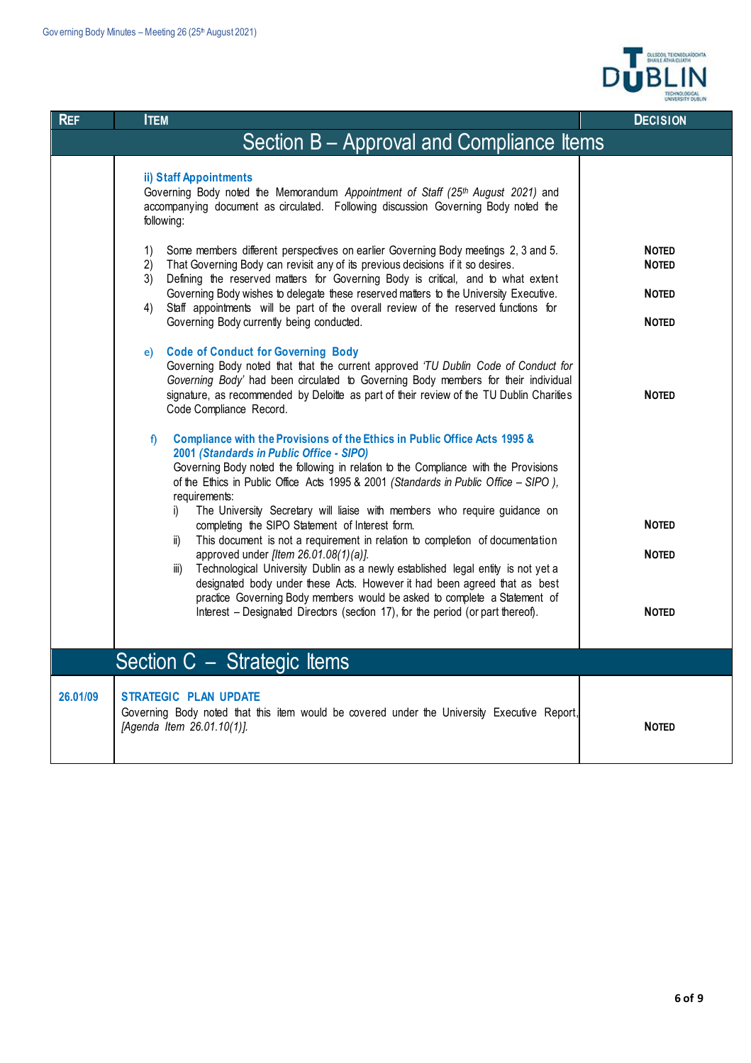

| <b>REF</b>                                | <b>ITEM</b>                                                                                                                                                                                                                                                                                                                                                                                                                                                                                                              | <b>DECISION</b>                                              |  |
|-------------------------------------------|--------------------------------------------------------------------------------------------------------------------------------------------------------------------------------------------------------------------------------------------------------------------------------------------------------------------------------------------------------------------------------------------------------------------------------------------------------------------------------------------------------------------------|--------------------------------------------------------------|--|
| Section B - Approval and Compliance Items |                                                                                                                                                                                                                                                                                                                                                                                                                                                                                                                          |                                                              |  |
|                                           | ii) Staff Appointments<br>Governing Body noted the Memorandum Appointment of Staff (25th August 2021) and<br>accompanying document as circulated. Following discussion Governing Body noted the<br>following:                                                                                                                                                                                                                                                                                                            |                                                              |  |
|                                           | Some members different perspectives on earlier Governing Body meetings 2, 3 and 5.<br>1)<br>That Governing Body can revisit any of its previous decisions if it so desires.<br>$\mathbf{2}$<br>Defining the reserved matters for Governing Body is critical, and to what extent<br>3)<br>Governing Body wishes to delegate these reserved matters to the University Executive.<br>Staff appointments will be part of the overall review of the reserved functions for<br>4)<br>Governing Body currently being conducted. | <b>NOTED</b><br><b>NOTED</b><br><b>NOTED</b><br><b>NOTED</b> |  |
|                                           | <b>Code of Conduct for Governing Body</b><br>e)<br>Governing Body noted that that the current approved 'TU Dublin Code of Conduct for<br>Governing Body' had been circulated to Governing Body members for their individual<br>signature, as recommended by Deloitte as part of their review of the TU Dublin Charities<br>Code Compliance Record.                                                                                                                                                                       | <b>NOTED</b>                                                 |  |
|                                           | Compliance with the Provisions of the Ethics in Public Office Acts 1995 &<br>f)<br>2001 (Standards in Public Office - SIPO)<br>Governing Body noted the following in relation to the Compliance with the Provisions<br>of the Ethics in Public Office Acts 1995 & 2001 (Standards in Public Office - SIPO),<br>requirements:<br>The University Secretary will liaise with members who require guidance on<br>i)                                                                                                          |                                                              |  |
|                                           | completing the SIPO Statement of Interest form.<br>This document is not a requirement in relation to completion of documentation<br>ii)                                                                                                                                                                                                                                                                                                                                                                                  | <b>NOTED</b>                                                 |  |
|                                           | approved under [Item 26.01.08(1)(a)].<br>Technological University Dublin as a newly established legal entity is not yet a<br>iii)<br>designated body under these Acts. However it had been agreed that as best                                                                                                                                                                                                                                                                                                           | <b>NOTED</b>                                                 |  |
|                                           | practice Governing Body members would be asked to complete a Statement of<br>Interest – Designated Directors (section 17), for the period (or part thereof).                                                                                                                                                                                                                                                                                                                                                             | <b>NOTED</b>                                                 |  |
|                                           | Section C - Strategic Items                                                                                                                                                                                                                                                                                                                                                                                                                                                                                              |                                                              |  |
| 26.01/09                                  | <b>STRATEGIC PLAN UPDATE</b><br>Governing Body noted that this item would be covered under the University Executive Report,<br>[Agenda Item 26.01.10(1)].                                                                                                                                                                                                                                                                                                                                                                | <b>NOTED</b>                                                 |  |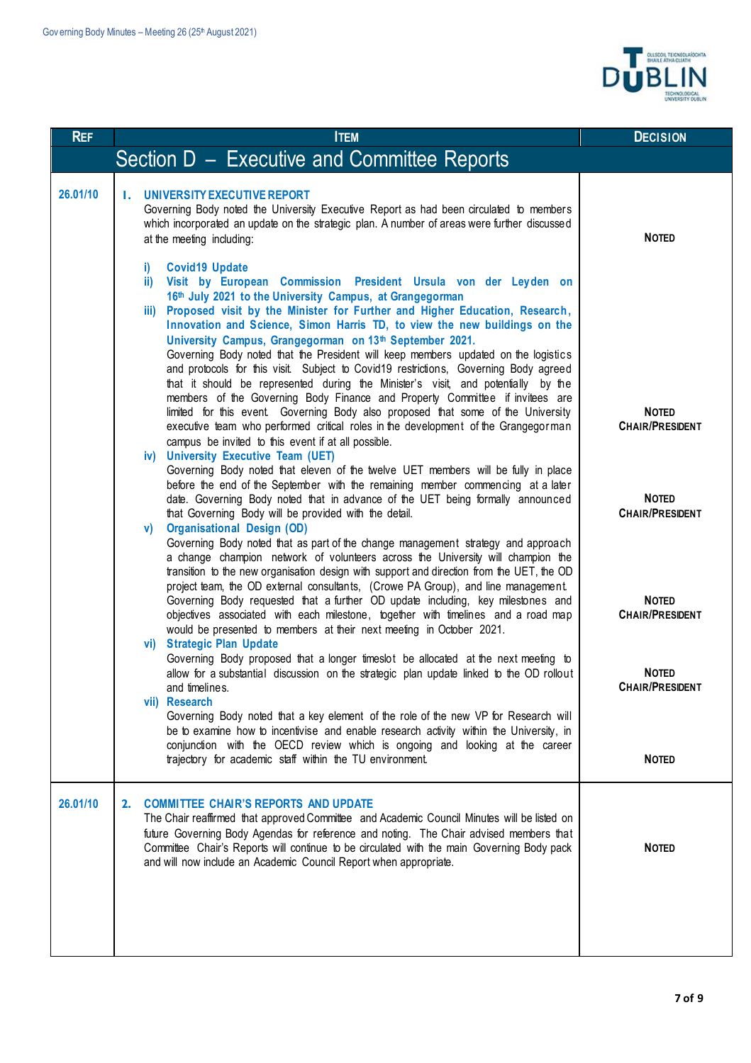

| <b>REF</b> | <b>ITEM</b>                                                                                                                                                                                                                                                                                                                                                                                                                                                                                                                                                                                                                                                                                                                                                                                                                            | <b>DECISION</b>                        |
|------------|----------------------------------------------------------------------------------------------------------------------------------------------------------------------------------------------------------------------------------------------------------------------------------------------------------------------------------------------------------------------------------------------------------------------------------------------------------------------------------------------------------------------------------------------------------------------------------------------------------------------------------------------------------------------------------------------------------------------------------------------------------------------------------------------------------------------------------------|----------------------------------------|
|            | Section D - Executive and Committee Reports                                                                                                                                                                                                                                                                                                                                                                                                                                                                                                                                                                                                                                                                                                                                                                                            |                                        |
| 26.01/10   | UNIVERSITY EXECUTIVE REPORT<br>Ι.<br>Governing Body noted the University Executive Report as had been circulated to members<br>which incorporated an update on the strategic plan. A number of areas were further discussed<br>at the meeting including:                                                                                                                                                                                                                                                                                                                                                                                                                                                                                                                                                                               | <b>NOTED</b>                           |
|            | <b>Covid19 Update</b><br>i)<br>Visit by European Commission President Ursula von der Leyden on<br>ii)<br>16th July 2021 to the University Campus, at Grangegorman<br>Proposed visit by the Minister for Further and Higher Education, Research,<br>iii)<br>Innovation and Science, Simon Harris TD, to view the new buildings on the<br>University Campus, Grangegorman on 13th September 2021.<br>Governing Body noted that the President will keep members updated on the logistics<br>and protocols for this visit. Subject to Covid19 restrictions, Governing Body agreed<br>that it should be represented during the Minister's visit, and potentially by the<br>members of the Governing Body Finance and Property Committee if invitees are<br>limited for this event. Governing Body also proposed that some of the University | <b>NOTED</b>                           |
|            | executive team who performed critical roles in the development of the Grangegorman<br>campus be invited to this event if at all possible.<br><b>University Executive Team (UET)</b><br>iv)<br>Governing Body noted that eleven of the twelve UET members will be fully in place                                                                                                                                                                                                                                                                                                                                                                                                                                                                                                                                                        | <b>CHAIR/PRESIDENT</b>                 |
|            | before the end of the September with the remaining member commencing at a later<br>date. Governing Body noted that in advance of the UET being formally announced<br>that Governing Body will be provided with the detail.<br><b>Organisational Design (OD)</b><br>V)<br>Governing Body noted that as part of the change management strategy and approach                                                                                                                                                                                                                                                                                                                                                                                                                                                                              | <b>NOTED</b><br><b>CHAIR/PRESIDENT</b> |
|            | a change champion network of volunteers across the University will champion the<br>transition to the new organisation design with support and direction from the UET, the OD<br>project team, the OD external consultants, (Crowe PA Group), and line management<br>Governing Body requested that a further OD update including, key milestones and<br>objectives associated with each milestone, together with timelines and a road map<br>would be presented to members at their next meeting in October 2021.<br><b>Strategic Plan Update</b><br>vi)                                                                                                                                                                                                                                                                                | <b>NOTED</b><br><b>CHAIR/PRESIDENT</b> |
|            | Governing Body proposed that a longer timeslot be allocated at the next meeting to<br>allow for a substantial discussion on the strategic plan update linked to the OD rollout<br>and timelines.<br>vii) Research<br>Governing Body noted that a key element of the role of the new VP for Research will                                                                                                                                                                                                                                                                                                                                                                                                                                                                                                                               | <b>NOTED</b><br><b>CHAIR/PRESIDENT</b> |
|            | be to examine how to incentivise and enable research activity within the University, in<br>conjunction with the OECD review which is ongoing and looking at the career<br>trajectory for academic staff within the TU environment.                                                                                                                                                                                                                                                                                                                                                                                                                                                                                                                                                                                                     | <b>NOTED</b>                           |
| 26.01/10   | <b>COMMITTEE CHAIR'S REPORTS AND UPDATE</b><br>2.<br>The Chair reaffirmed that approved Committee and Academic Council Minutes will be listed on<br>future Governing Body Agendas for reference and noting. The Chair advised members that<br>Committee Chair's Reports will continue to be circulated with the main Governing Body pack<br>and will now include an Academic Council Report when appropriate.                                                                                                                                                                                                                                                                                                                                                                                                                          | <b>NOTED</b>                           |
|            |                                                                                                                                                                                                                                                                                                                                                                                                                                                                                                                                                                                                                                                                                                                                                                                                                                        |                                        |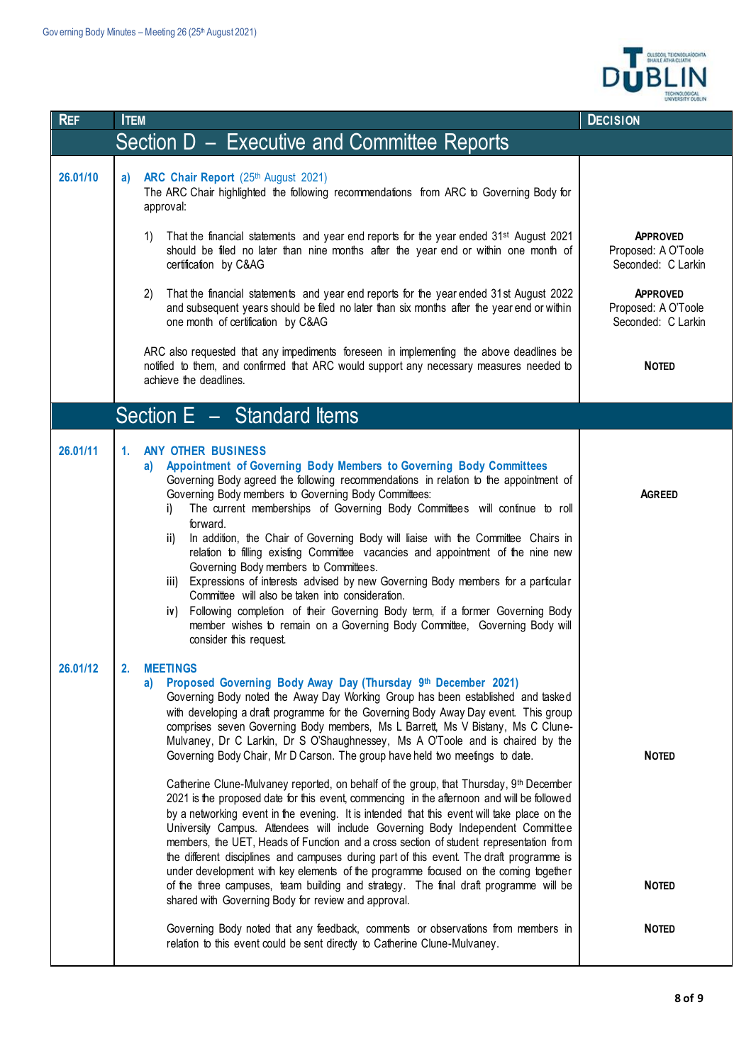

| <b>REF</b> | <b>ITEM</b>                                                                                                                                                                                                                                                                                                                                                                                                                                                                                                                                                                                                                                                                                                                                                                                                                                                                                          | <b>DECISION</b>                                              |
|------------|------------------------------------------------------------------------------------------------------------------------------------------------------------------------------------------------------------------------------------------------------------------------------------------------------------------------------------------------------------------------------------------------------------------------------------------------------------------------------------------------------------------------------------------------------------------------------------------------------------------------------------------------------------------------------------------------------------------------------------------------------------------------------------------------------------------------------------------------------------------------------------------------------|--------------------------------------------------------------|
|            | Section D – Executive and Committee Reports                                                                                                                                                                                                                                                                                                                                                                                                                                                                                                                                                                                                                                                                                                                                                                                                                                                          |                                                              |
| 26.01/10   | ARC Chair Report (25th August 2021)<br>a)<br>The ARC Chair highlighted the following recommendations from ARC to Governing Body for<br>approval:                                                                                                                                                                                                                                                                                                                                                                                                                                                                                                                                                                                                                                                                                                                                                     |                                                              |
|            | That the financial statements and year end reports for the year ended 31 <sup>st</sup> August 2021<br>1)<br>should be filed no later than nine months after the year end or within one month of<br>certification by C&AG                                                                                                                                                                                                                                                                                                                                                                                                                                                                                                                                                                                                                                                                             | <b>APPROVED</b><br>Proposed: A O'Toole<br>Seconded: C Larkin |
|            | That the financial statements and year end reports for the year ended 31st August 2022<br>2)<br>and subsequent years should be filed no later than six months after the year end or within<br>one month of certification by C&AG                                                                                                                                                                                                                                                                                                                                                                                                                                                                                                                                                                                                                                                                     | <b>APPROVED</b><br>Proposed: A O'Toole<br>Seconded: C Larkin |
|            | ARC also requested that any impediments foreseen in implementing the above deadlines be<br>notified to them, and confirmed that ARC would support any necessary measures needed to<br>achieve the deadlines.                                                                                                                                                                                                                                                                                                                                                                                                                                                                                                                                                                                                                                                                                         | <b>NOTED</b>                                                 |
|            | Section $E -$ Standard Items                                                                                                                                                                                                                                                                                                                                                                                                                                                                                                                                                                                                                                                                                                                                                                                                                                                                         |                                                              |
| 26.01/11   | <b>ANY OTHER BUSINESS</b><br>1.<br>Appointment of Governing Body Members to Governing Body Committees<br>a)<br>Governing Body agreed the following recommendations in relation to the appointment of<br>Governing Body members to Governing Body Committees:<br>The current memberships of Governing Body Committees will continue to roll<br>i)<br>forward.<br>In addition, the Chair of Governing Body will liaise with the Committee Chairs in<br>ii)<br>relation to filling existing Committee vacancies and appointment of the nine new<br>Governing Body members to Committees.<br>iii) Expressions of interests advised by new Governing Body members for a particular<br>Committee will also be taken into consideration.<br>iv) Following completion of their Governing Body term, if a former Governing Body<br>member wishes to remain on a Governing Body Committee, Governing Body will | <b>AGREED</b>                                                |
| 26.01/12   | consider this request.<br><b>MEETINGS</b><br>2.<br>Proposed Governing Body Away Day (Thursday 9th December 2021)<br>a)<br>Governing Body noted the Away Day Working Group has been established and tasked<br>with developing a draft programme for the Governing Body Away Day event. This group<br>comprises seven Governing Body members, Ms L Barrett, Ms V Bistany, Ms C Clune-<br>Mulvaney, Dr C Larkin, Dr S O'Shaughnessey, Ms A O'Toole and is chaired by the<br>Governing Body Chair, Mr D Carson. The group have held two meetings to date.                                                                                                                                                                                                                                                                                                                                                | <b>NOTED</b>                                                 |
|            | Catherine Clune-Mulvaney reported, on behalf of the group, that Thursday, 9th December<br>2021 is the proposed date for this event, commencing in the afternoon and will be followed<br>by a networking event in the evening. It is intended that this event will take place on the<br>University Campus. Attendees will include Governing Body Independent Committee<br>members, the UET, Heads of Function and a cross section of student representation from<br>the different disciplines and campuses during part of this event. The draft programme is<br>under development with key elements of the programme focused on the coming together<br>of the three campuses, team building and strategy. The final draft programme will be<br>shared with Governing Body for review and approval.                                                                                                    | <b>NOTED</b>                                                 |
|            | Governing Body noted that any feedback, comments or observations from members in<br>relation to this event could be sent directly to Catherine Clune-Mulvaney.                                                                                                                                                                                                                                                                                                                                                                                                                                                                                                                                                                                                                                                                                                                                       | <b>NOTED</b>                                                 |